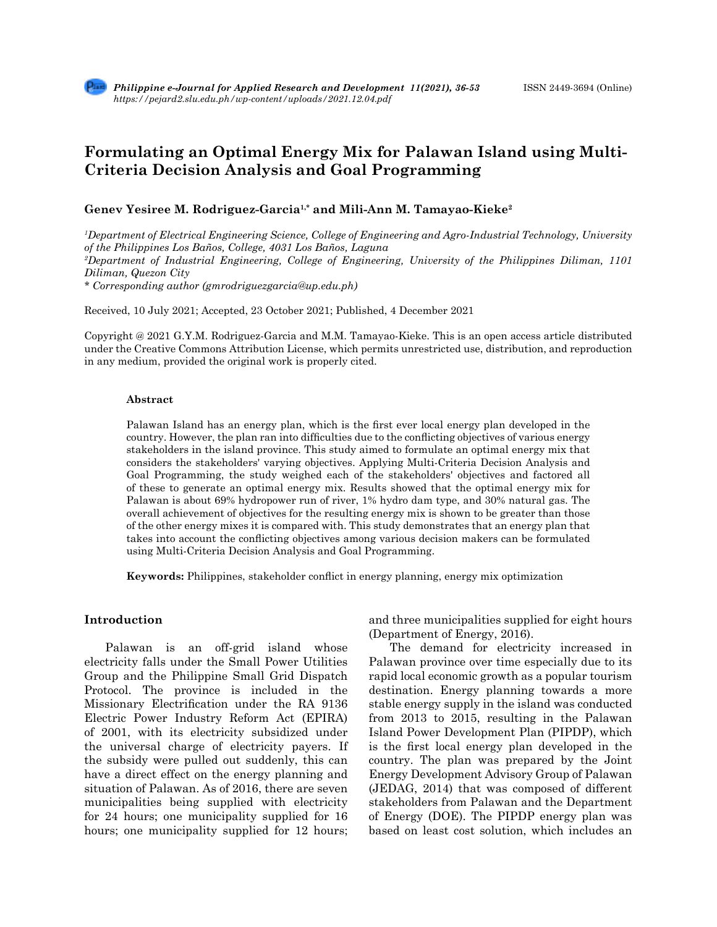# **Formulating an Optimal Energy Mix for Palawan Island using Multi-Criteria Decision Analysis and Goal Programming**

# **Genev Yesiree M. Rodriguez-Garcia1,\* and Mili-Ann M. Tamayao-Kieke2**

*1 Department of Electrical Engineering Science, College of Engineering and Agro-Industrial Technology, University of the Philippines Los Baños, College, 4031 Los Baños, Laguna 2 Department of Industrial Engineering, College of Engineering, University of the Philippines Diliman, 1101 Diliman, Quezon City \* Corresponding author (gmrodriguezgarcia@up.edu.ph)*

Received, 10 July 2021; Accepted, 23 October 2021; Published, 4 December 2021

Copyright @ 2021 G.Y.M. Rodriguez-Garcia and M.M. Tamayao-Kieke. This is an open access article distributed under the Creative Commons Attribution License, which permits unrestricted use, distribution, and reproduction in any medium, provided the original work is properly cited.

### **Abstract**

Palawan Island has an energy plan, which is the first ever local energy plan developed in the country. However, the plan ran into difficulties due to the conflicting objectives of various energy stakeholders in the island province. This study aimed to formulate an optimal energy mix that considers the stakeholders' varying objectives. Applying Multi-Criteria Decision Analysis and Goal Programming, the study weighed each of the stakeholders' objectives and factored all of these to generate an optimal energy mix. Results showed that the optimal energy mix for Palawan is about 69% hydropower run of river, 1% hydro dam type, and 30% natural gas. The overall achievement of objectives for the resulting energy mix is shown to be greater than those of the other energy mixes it is compared with. This study demonstrates that an energy plan that takes into account the conflicting objectives among various decision makers can be formulated using Multi-Criteria Decision Analysis and Goal Programming.

**Keywords:** Philippines, stakeholder conflict in energy planning, energy mix optimization

# **Introduction**

Palawan is an off-grid island whose electricity falls under the Small Power Utilities Group and the Philippine Small Grid Dispatch Protocol. The province is included in the Missionary Electrification under the RA 9136 Electric Power Industry Reform Act (EPIRA) of 2001, with its electricity subsidized under the universal charge of electricity payers. If the subsidy were pulled out suddenly, this can have a direct effect on the energy planning and situation of Palawan. As of 2016, there are seven municipalities being supplied with electricity for 24 hours; one municipality supplied for 16 hours; one municipality supplied for 12 hours; and three municipalities supplied for eight hours (Department of Energy, 2016).

The demand for electricity increased in Palawan province over time especially due to its rapid local economic growth as a popular tourism destination. Energy planning towards a more stable energy supply in the island was conducted from 2013 to 2015, resulting in the Palawan Island Power Development Plan (PIPDP), which is the first local energy plan developed in the country. The plan was prepared by the Joint Energy Development Advisory Group of Palawan (JEDAG, 2014) that was composed of different stakeholders from Palawan and the Department of Energy (DOE). The PIPDP energy plan was based on least cost solution, which includes an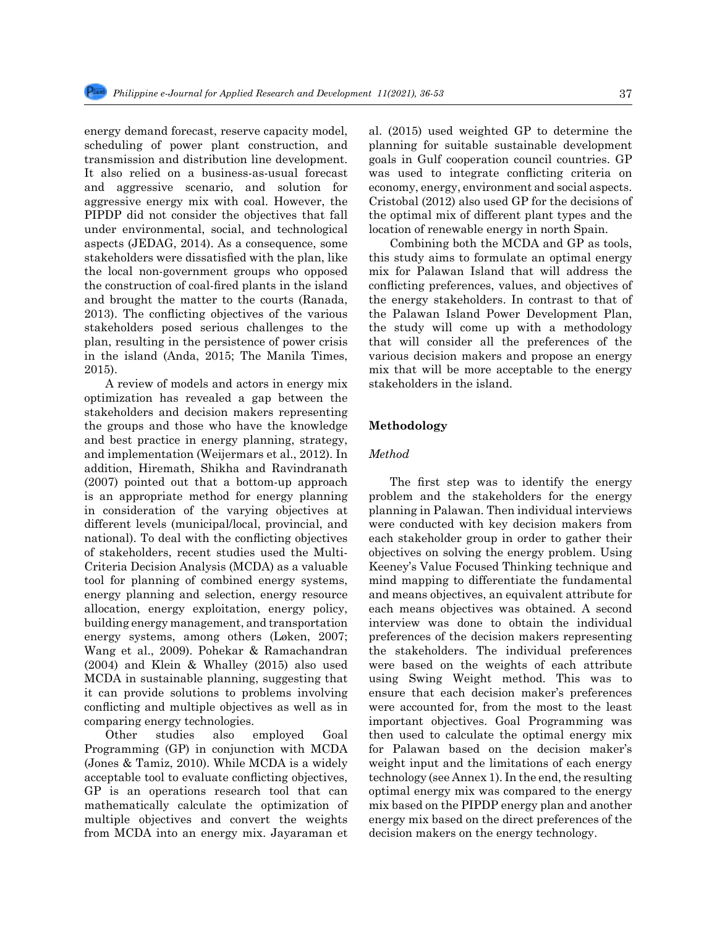energy demand forecast, reserve capacity model, scheduling of power plant construction, and transmission and distribution line development. It also relied on a business-as-usual forecast and aggressive scenario, and solution for aggressive energy mix with coal. However, the PIPDP did not consider the objectives that fall under environmental, social, and technological aspects (JEDAG, 2014). As a consequence, some stakeholders were dissatisfied with the plan, like the local non-government groups who opposed the construction of coal-fired plants in the island and brought the matter to the courts (Ranada, 2013). The conflicting objectives of the various stakeholders posed serious challenges to the plan, resulting in the persistence of power crisis in the island (Anda, 2015; The Manila Times, 2015).

A review of models and actors in energy mix optimization has revealed a gap between the stakeholders and decision makers representing the groups and those who have the knowledge and best practice in energy planning, strategy, and implementation (Weijermars et al., 2012). In addition, Hiremath, Shikha and Ravindranath (2007) pointed out that a bottom-up approach is an appropriate method for energy planning in consideration of the varying objectives at different levels (municipal/local, provincial, and national). To deal with the conflicting objectives of stakeholders, recent studies used the Multi-Criteria Decision Analysis (MCDA) as a valuable tool for planning of combined energy systems, energy planning and selection, energy resource allocation, energy exploitation, energy policy, building energy management, and transportation energy systems, among others (Løken, 2007; Wang et al., 2009). Pohekar & Ramachandran (2004) and Klein & Whalley (2015) also used MCDA in sustainable planning, suggesting that it can provide solutions to problems involving conflicting and multiple objectives as well as in comparing energy technologies.

Other studies also employed Goal Programming (GP) in conjunction with MCDA (Jones & Tamiz, 2010). While MCDA is a widely acceptable tool to evaluate conflicting objectives, GP is an operations research tool that can mathematically calculate the optimization of multiple objectives and convert the weights from MCDA into an energy mix. Jayaraman et al. (2015) used weighted GP to determine the planning for suitable sustainable development goals in Gulf cooperation council countries. GP was used to integrate conflicting criteria on economy, energy, environment and social aspects. Cristobal (2012) also used GP for the decisions of the optimal mix of different plant types and the location of renewable energy in north Spain.

Combining both the MCDA and GP as tools, this study aims to formulate an optimal energy mix for Palawan Island that will address the conflicting preferences, values, and objectives of the energy stakeholders. In contrast to that of the Palawan Island Power Development Plan, the study will come up with a methodology that will consider all the preferences of the various decision makers and propose an energy mix that will be more acceptable to the energy stakeholders in the island.

## **Methodology**

### *Method*

The first step was to identify the energy problem and the stakeholders for the energy planning in Palawan. Then individual interviews were conducted with key decision makers from each stakeholder group in order to gather their objectives on solving the energy problem. Using Keeney's Value Focused Thinking technique and mind mapping to differentiate the fundamental and means objectives, an equivalent attribute for each means objectives was obtained. A second interview was done to obtain the individual preferences of the decision makers representing the stakeholders. The individual preferences were based on the weights of each attribute using Swing Weight method. This was to ensure that each decision maker's preferences were accounted for, from the most to the least important objectives. Goal Programming was then used to calculate the optimal energy mix for Palawan based on the decision maker's weight input and the limitations of each energy technology (see Annex 1). In the end, the resulting optimal energy mix was compared to the energy mix based on the PIPDP energy plan and another energy mix based on the direct preferences of the decision makers on the energy technology.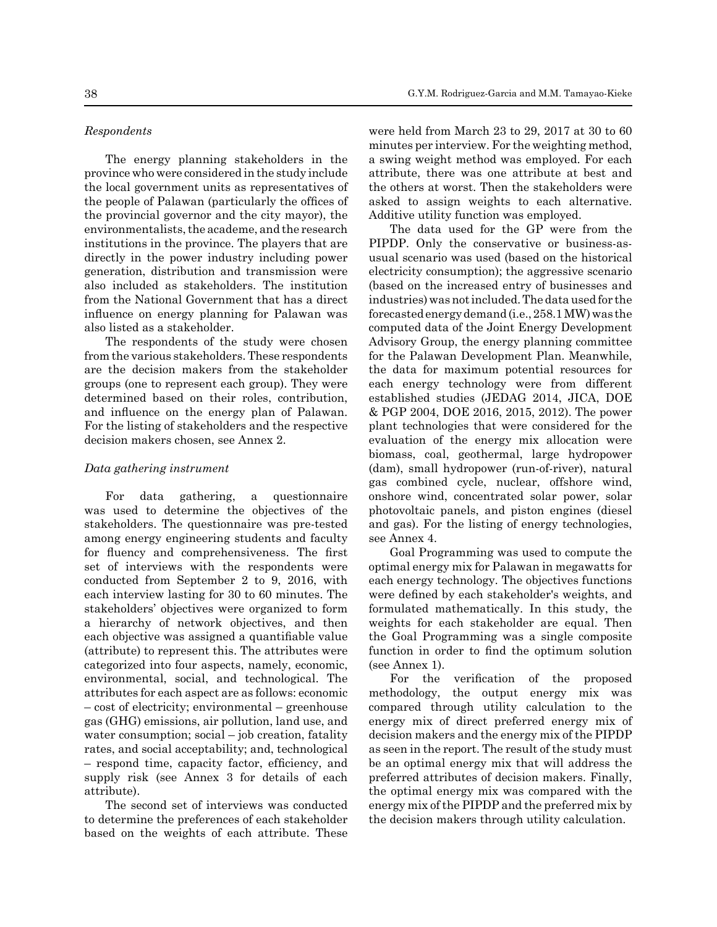### *Respondents*

The energy planning stakeholders in the province who were considered in the study include the local government units as representatives of the people of Palawan (particularly the offices of the provincial governor and the city mayor), the environmentalists, the academe, and the research institutions in the province. The players that are directly in the power industry including power generation, distribution and transmission were also included as stakeholders. The institution from the National Government that has a direct influence on energy planning for Palawan was also listed as a stakeholder.

The respondents of the study were chosen from the various stakeholders. These respondents are the decision makers from the stakeholder groups (one to represent each group). They were determined based on their roles, contribution, and influence on the energy plan of Palawan. For the listing of stakeholders and the respective decision makers chosen, see Annex 2.

### *Data gathering instrument*

For data gathering, a questionnaire was used to determine the objectives of the stakeholders. The questionnaire was pre-tested among energy engineering students and faculty for fluency and comprehensiveness. The first set of interviews with the respondents were conducted from September 2 to 9, 2016, with each interview lasting for 30 to 60 minutes. The stakeholders' objectives were organized to form a hierarchy of network objectives, and then each objective was assigned a quantifiable value (attribute) to represent this. The attributes were categorized into four aspects, namely, economic, environmental, social, and technological. The attributes for each aspect are as follows: economic – cost of electricity; environmental – greenhouse gas (GHG) emissions, air pollution, land use, and water consumption; social – job creation, fatality rates, and social acceptability; and, technological – respond time, capacity factor, efficiency, and supply risk (see Annex 3 for details of each attribute).

The second set of interviews was conducted to determine the preferences of each stakeholder based on the weights of each attribute. These were held from March 23 to 29, 2017 at 30 to 60 minutes per interview. For the weighting method, a swing weight method was employed. For each attribute, there was one attribute at best and the others at worst. Then the stakeholders were asked to assign weights to each alternative. Additive utility function was employed.

The data used for the GP were from the PIPDP. Only the conservative or business-asusual scenario was used (based on the historical electricity consumption); the aggressive scenario (based on the increased entry of businesses and industries) was not included. The data used for the forecasted energy demand (i.e., 258.1 MW) was the computed data of the Joint Energy Development Advisory Group, the energy planning committee for the Palawan Development Plan. Meanwhile, the data for maximum potential resources for each energy technology were from different established studies (JEDAG 2014, JICA, DOE & PGP 2004, DOE 2016, 2015, 2012). The power plant technologies that were considered for the evaluation of the energy mix allocation were biomass, coal, geothermal, large hydropower (dam), small hydropower (run-of-river), natural gas combined cycle, nuclear, offshore wind, onshore wind, concentrated solar power, solar photovoltaic panels, and piston engines (diesel and gas). For the listing of energy technologies, see Annex 4.

Goal Programming was used to compute the optimal energy mix for Palawan in megawatts for each energy technology. The objectives functions were defined by each stakeholder's weights, and formulated mathematically. In this study, the weights for each stakeholder are equal. Then the Goal Programming was a single composite function in order to find the optimum solution (see Annex 1).

For the verification of the proposed methodology, the output energy mix was compared through utility calculation to the energy mix of direct preferred energy mix of decision makers and the energy mix of the PIPDP as seen in the report. The result of the study must be an optimal energy mix that will address the preferred attributes of decision makers. Finally, the optimal energy mix was compared with the energy mix of the PIPDP and the preferred mix by the decision makers through utility calculation.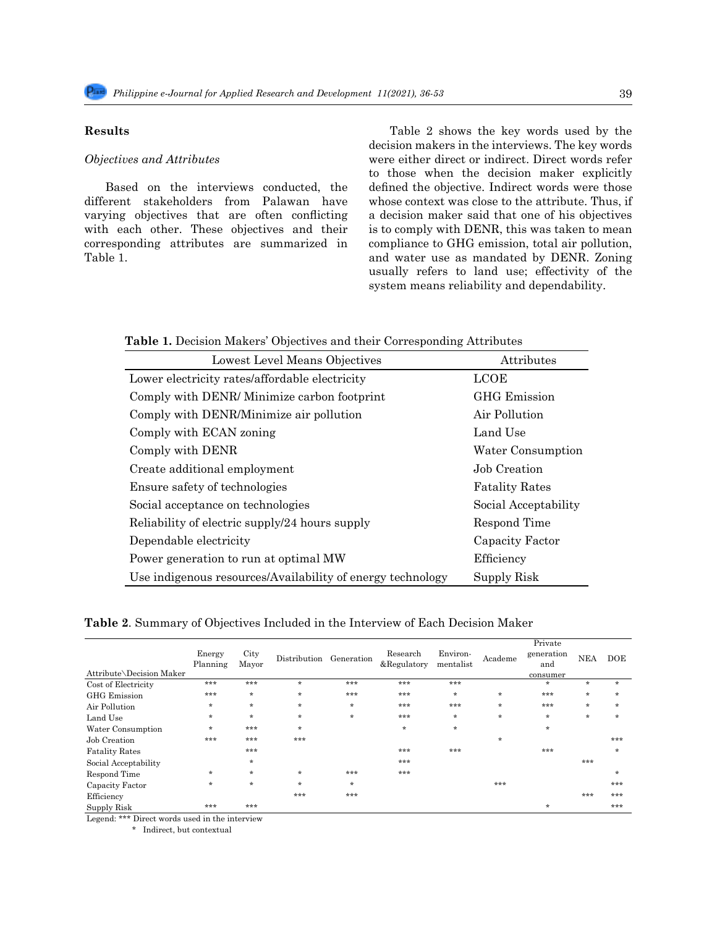# **Results**

### *Objectives and Attributes*

Based on the interviews conducted, the different stakeholders from Palawan have varying objectives that are often conflicting with each other. These objectives and their corresponding attributes are summarized in Table 1.

Table 2 shows the key words used by the decision makers in the interviews. The key words were either direct or indirect. Direct words refer to those when the decision maker explicitly defined the objective. Indirect words were those whose context was close to the attribute. Thus, if a decision maker said that one of his objectives is to comply with DENR, this was taken to mean compliance to GHG emission, total air pollution, and water use as mandated by DENR. Zoning usually refers to land use; effectivity of the system means reliability and dependability.

**Table 1.** Decision Makers' Objectives and their Corresponding Attributes

| Lowest Level Means Objectives                              | <b>Attributes</b>     |
|------------------------------------------------------------|-----------------------|
| Lower electricity rates/affordable electricity             | <b>LCOE</b>           |
| Comply with DENR/Minimize carbon footprint                 | <b>GHG</b> Emission   |
| Comply with DENR/Minimize air pollution                    | Air Pollution         |
| Comply with ECAN zoning                                    | Land Use              |
| Comply with DENR                                           | Water Consumption     |
| Create additional employment                               | Job Creation          |
| Ensure safety of technologies                              | <b>Fatality Rates</b> |
| Social acceptance on technologies                          | Social Acceptability  |
| Reliability of electric supply/24 hours supply             | Respond Time          |
| Dependable electricity                                     | Capacity Factor       |
| Power generation to run at optimal MW                      | Efficiency            |
| Use indigenous resources/Availability of energy technology | Supply Risk           |

**Table 2**. Summary of Objectives Included in the Interview of Each Decision Maker

| Attribute\Decision Maker | Energy<br>Planning | City<br>Mayor | Distribution | Generation | Research<br>&Regulatory | Environ-<br>mentalist | Academe | Private<br>generation<br>and<br>consumer | <b>NEA</b> | DOE     |
|--------------------------|--------------------|---------------|--------------|------------|-------------------------|-----------------------|---------|------------------------------------------|------------|---------|
| Cost of Electricity      | ***                | ***           | $\ast$       | ***        | ***                     | ***                   |         | $\ast$                                   | $\ast$     | $\ast$  |
| <b>GHG</b> Emission      | ***                | $\ast$        | $\star$      | ***        | ***                     | $\ast$                | $\ast$  | ***                                      | $\star$    | $\ast$  |
| Air Pollution            | $\ast$             | $\ast$        | $\star$      | $\ast$     | ***                     | ***                   | $\ast$  | ***                                      | $\ast$     | $\ast$  |
| Land Use                 | $\ast$             | $\ast$        | $\star$      | $\star$    | ***                     | $\ast$                | $\ast$  | $\ast$                                   | $\star$    | $\star$ |
| Water Consumption        | $\star$            | ***           | $\star$      |            | $\star$                 | $\star$               |         | $\ast$                                   |            |         |
| Job Creation             | ***                | ***           | ***          |            |                         |                       | $\ast$  |                                          |            | ***     |
| <b>Fatality Rates</b>    |                    | ***           |              |            | ***                     | ***                   |         | ***                                      |            | $\ast$  |
| Social Acceptability     |                    | $\ast$        |              |            | ***                     |                       |         |                                          | ***        |         |
| Respond Time             | $\ast$             | $\ast$        | $\star$      | $***$      | ***                     |                       |         |                                          |            | $\ast$  |
| Capacity Factor          | $\star$            | $\ast$        | $\star$      | $\ast$     |                         |                       | ***     |                                          |            | ***     |
| Efficiency               |                    |               | ***          | ***        |                         |                       |         |                                          | ***        | ***     |
| Supply Risk              | ***                | ***           |              |            |                         |                       |         | $\ast$                                   |            | ***     |

Legend: \*\*\* Direct words used in the interview

\* Indirect, but contextual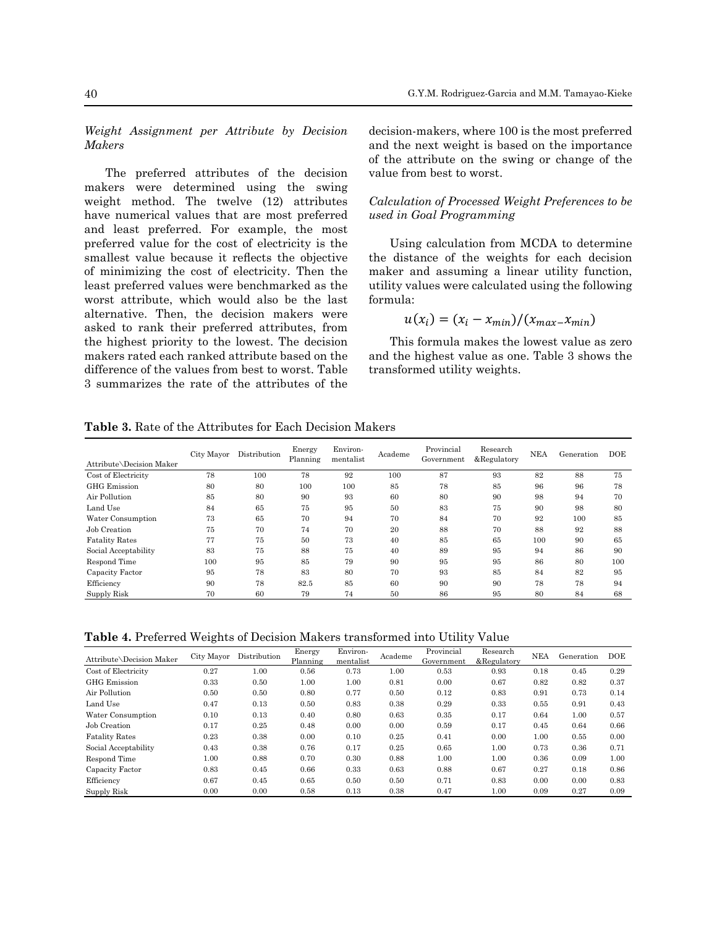*Weight Assignment per Attribute by Decision Makers* 

The preferred attributes of the decision makers were determined using the swing weight method. The twelve  $(12)$  attributes have numerical values that are most preferred and least preferred. For example, the most preferred value for the cost of electricity is the smallest value because it reflects the objective of minimizing the cost of electricity. Then the least preferred values were benchmarked as the utility values were calcul worst attribute, which would also be the last alternative. Then, the decision makers were afternative. Then, the decision makers were  $u(x_i) = (x_i - x_{min})/(x_{max} - x_{min})$ <br>asked to rank their preferred attributes, from asked to rain their preferred attributes, from<br>the highest priority to the lowest. The decision makers rated each ranked attribute based on the mances rated each ranned decreased on the since the ingress that<br>difference of the values from best to worst. Table transformed utility 3 summarizes the rate of the attributes of the

*ribute by Decision* decision-makers, where  $100$  is the most preferred and the next weight is based on the importance of the attribute on the swing or change of the es of the decision value from best to worst.

 $\overline{\phantom{a}}$  , we can see  $\overline{\phantom{a}}$  , we can see  $\overline{\phantom{a}}$ 

# ve (12) attributes Calculation of Processed Weight Preferences to be *used in Goal Programming*

he cost of electricity is the Using calculation from MCDA to determine the distance of the weights for each decision ost of electricity. Then the maker and assuming a linear utility function, utility values were calculated using the following formula:

$$
u(x_i) = (x_i - x_{min})/(x_{max} - x_{min})
$$

nked attribute based on the and the highest value as one. Table 3 shows the nuclear and the highest value as one. Table 3 shows the This formula makes the lowest value as zero transformed utility weights.

**Table 3.** Rate of the Attributes for Each Decision Makers  $\overline{\phantom{a}}$ 

| Attribute\Decision Maker | City Mayor | Distribution | Energy<br>Planning | Environ-<br>mentalist | Academe | Provincial<br>Government | Research<br>&Regulatory | NEA | Generation | <b>DOE</b> |
|--------------------------|------------|--------------|--------------------|-----------------------|---------|--------------------------|-------------------------|-----|------------|------------|
| Cost of Electricity      | 78         | 100          | 78                 | 92                    | 100     | 87                       | 93                      | 82  | 88         | 75         |
| <b>GHG</b> Emission      | 80         | 80           | 100                | 100                   | 85      | 78                       | 85                      | 96  | 96         | 78         |
| Air Pollution            | 85         | 80           | 90                 | 93                    | 60      | 80                       | 90                      | 98  | 94         | 70         |
| Land Use                 | 84         | 65           | 75                 | 95                    | 50      | 83                       | 75                      | 90  | 98         | 80         |
| Water Consumption        | 73         | 65           | 70                 | 94                    | 70      | 84                       | 70                      | 92  | 100        | 85         |
| Job Creation             | 75         | 70           | 74                 | 70                    | 20      | 88                       | 70                      | 88  | 92         | 88         |
| <b>Fatality Rates</b>    | 77         | 75           | 50                 | 73                    | 40      | 85                       | 65                      | 100 | 90         | 65         |
| Social Acceptability     | 83         | 75           | 88                 | 75                    | 40      | 89                       | 95                      | 94  | 86         | 90         |
| Respond Time             | 100        | 95           | 85                 | 79                    | 90      | 95                       | 95                      | 86  | 80         | 100        |
| Capacity Factor          | 95         | 78           | 83                 | 80                    | 70      | 93                       | 85                      | 84  | 82         | 95         |
| Efficiency               | 90         | 78           | 82.5               | 85                    | 60      | 90                       | 90                      | 78  | 78         | 94         |
| Supply Risk              | 70         | 60           | 79                 | 74                    | 50      | 86                       | 95                      | 80  | 84         | 68         |

**Table 4.** Preferred Weights of Decision Makers transformed into Utility Value

| Attribute\Decision Maker | City Mayor | Distribution | Energy<br>Planning | Environ-<br>mentalist | Academe | Provincial<br>Government | Research<br>&Regulatory | <b>NEA</b> | Generation | <b>DOE</b> |
|--------------------------|------------|--------------|--------------------|-----------------------|---------|--------------------------|-------------------------|------------|------------|------------|
| Cost of Electricity      | 0.27       | 1.00         | 0.56               | 0.73                  | 1.00    | 0.53                     | 0.93                    | 0.18       | 0.45       | 0.29       |
| <b>GHG</b> Emission      | 0.33       | 0.50         | 1.00               | 1.00                  | 0.81    | 0.00                     | 0.67                    | 0.82       | 0.82       | 0.37       |
| Air Pollution            | 0.50       | 0.50         | 0.80               | 0.77                  | 0.50    | 0.12                     | 0.83                    | 0.91       | 0.73       | 0.14       |
| Land Use                 | 0.47       | 0.13         | 0.50               | 0.83                  | 0.38    | 0.29                     | 0.33                    | 0.55       | 0.91       | 0.43       |
| Water Consumption        | 0.10       | 0.13         | 0.40               | 0.80                  | 0.63    | 0.35                     | 0.17                    | 0.64       | 1.00       | 0.57       |
| Job Creation             | 0.17       | 0.25         | 0.48               | 0.00                  | 0.00    | 0.59                     | 0.17                    | 0.45       | 0.64       | 0.66       |
| <b>Fatality Rates</b>    | 0.23       | 0.38         | 0.00               | 0.10                  | 0.25    | 0.41                     | 0.00                    | 1.00       | 0.55       | 0.00       |
| Social Acceptability     | 0.43       | 0.38         | 0.76               | 0.17                  | 0.25    | 0.65                     | 1.00                    | 0.73       | 0.36       | 0.71       |
| Respond Time             | 1.00       | 0.88         | 0.70               | 0.30                  | 0.88    | 1.00                     | 1.00                    | 0.36       | 0.09       | 1.00       |
| Capacity Factor          | 0.83       | 0.45         | 0.66               | 0.33                  | 0.63    | 0.88                     | 0.67                    | 0.27       | 0.18       | 0.86       |
| Efficiency               | 0.67       | 0.45         | 0.65               | 0.50                  | 0.50    | 0.71                     | 0.83                    | 0.00       | 0.00       | 0.83       |
| Supply Risk              | 0.00       | 0.00         | 0.58               | 0.13                  | 0.38    | 0.47                     | 1.00                    | 0.09       | 0.27       | 0.09       |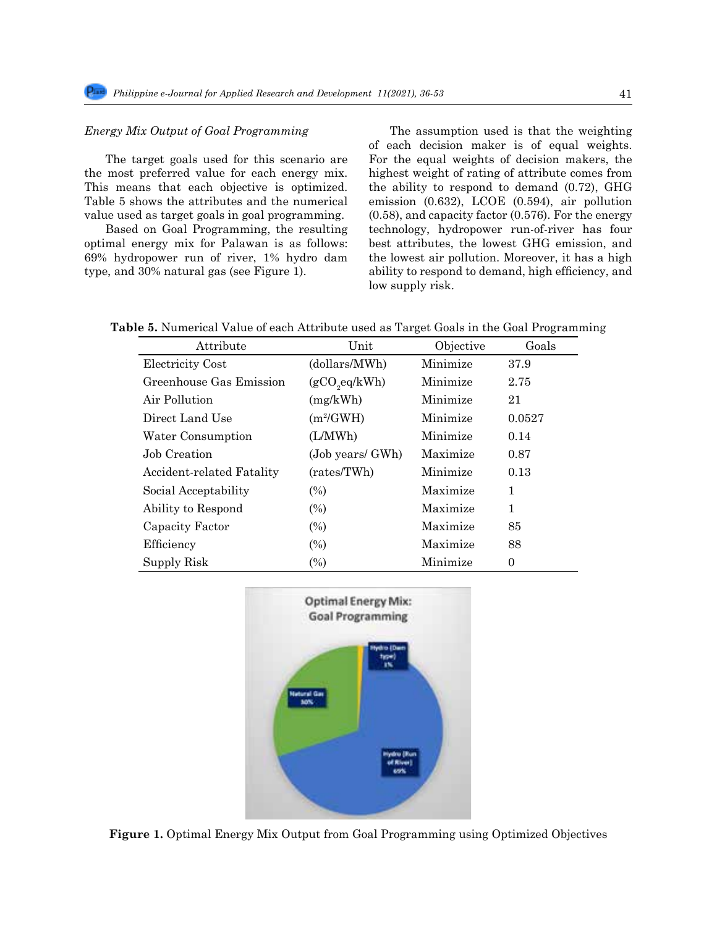# *Energy Mix Output of Goal Programming*

The target goals used for this scenario are the most preferred value for each energy mix. This means that each objective is optimized. Table 5 shows the attributes and the numerical Table 5 shows the attributes and the numerical emission  $(0.632)$ , LCOE  $(0.594)$ , air pollution

Based on Goal Programming, the resulting optimal energy mix for Palawan is as follows: 69% hydropower run of river, 1% hydro dam the lowest air pollution. Moreover, it has type, and 30% natural gas (see Figure 1).

value used as target goals in goal programming.  $(0.58)$ , and capacity factor  $(0.576)$ . For the energy 7 The assumption used is that the weighting  $A = \frac{1}{2}$ of each decision maker is of equal weights. For the equal weights of decision makers, the highest weight of rating of attribute comes from the ability to respond to demand (0.72), GHG (0.58), and capacity factor (0.576). For the energy technology, hydropower run-of-river has four best attributes, the lowest GHG emission, and the lowest air pollution. Moreover, it has a high ability to respond to demand, high efficiency, and low supply risk.

Table 5. Numerical Value of each Attribute used as Target Goals in the Goal Programming

| Attribute                 | Unit             | Objective | Goals          |
|---------------------------|------------------|-----------|----------------|
| Electricity Cost          | (dollars/MWh)    | Minimize  | 37.9           |
| Greenhouse Gas Emission   | (gCO, eq/kWh)    | Minimize  | 2.75           |
| Air Pollution             | (mg/kWh)         | Minimize  | 21             |
| Direct Land Use           | $(m^2/GWH)$      | Minimize  | 0.0527         |
| Water Consumption         | (L/MWh)          | Minimize  | 0.14           |
| Job Creation              | (Job years/ GWh) | Maximize  | 0.87           |
| Accident-related Fatality | (rates/TWh)      | Minimize  | 0.13           |
| Social Acceptability      | $(\%)$           | Maximize  | 1              |
| Ability to Respond        | $(\%)$           | Maximize  | 1              |
| Capacity Factor           | $(\%)$           | Maximize  | 85             |
| Efficiency                | $(\%)$           | Maximize  | 88             |
| Supply Risk               | $(\%)$           | Minimize  | $\overline{0}$ |



**Figure 1.** Optimal Energy Mix Output from Goal Programming using Optimized Objectives.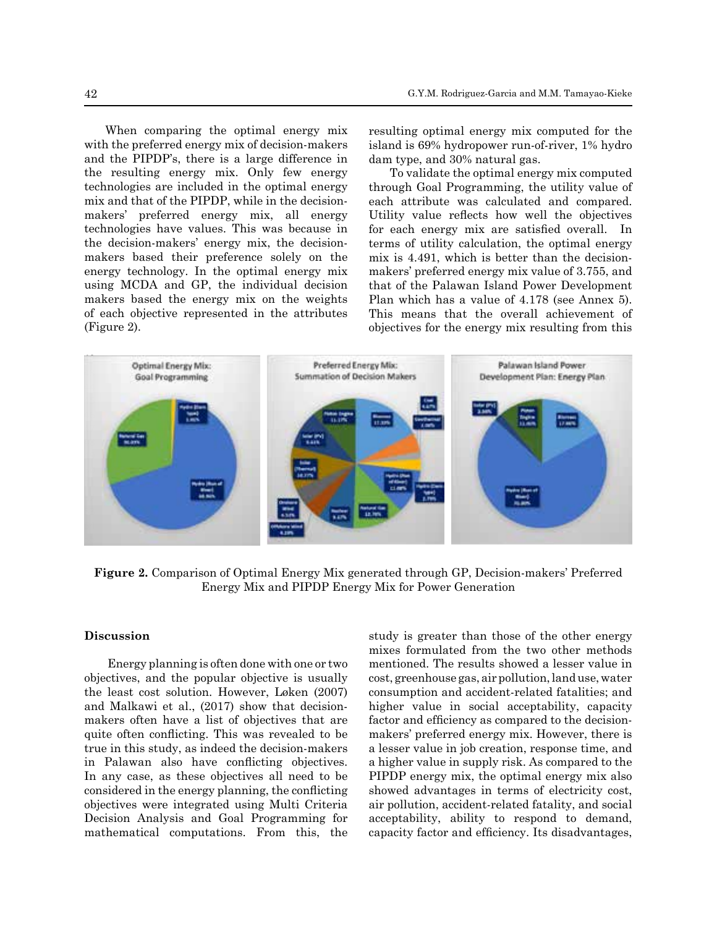When comparing the optimal energy mix with the preferred energy mix of decision-makers with the preferred energy finx of decision-makers is ignited is  $69\%$  hydropower run-or-river, if and the PIPDP's, there is a large difference in dam type, and 30% natural gas. the resulting energy mix. Only few energy To validate the optimal energy mix of technologies are included in the optimal energy through Goal Programming, the utility mix and that of the PIPDP, while in the decision-<br>
231 attributes, was calculated and contract of the lowest air pollution. Moreover, it has a high ability of the lowest air pollution. Moreover, it has a high ability of th makers' preferred energy mix, all energy Utility technologies have values. This was because in the decision-makers' energy mix, the decision-<br>terms of utility calculation, the optimal energy mix of decisionmakers based their preference solely on the energy technology. In the optimal energy mix makers' preferred energy mix value of 3. using MCDA and GP, the individual decision that of the Palawan Island Power Deve makers based the energy mix on the weights Plan which has a value of  $4.178$  (see A of each objective represented in the attributes This means that the overall achieve (Figure 2). 228 and the FILDT s, there is a large unerelic in a dam type, and 50% hattrail gas.

resulting optimal energy mix computed for the island is 69% hydropower run-of-river, 1% hydro dam type, and 30% natural gas.

makers based their preference solely on the mix is  $4.491$ , which is better than the decision- $2$ . (Figure 2). To validate the optimal energy mix computed through Goal Programming, the utility value of each attribute was calculated and compared. Utility value reflects how well the objectives for each energy mix are satisfied overall. In terms of utility calculation, the optimal energy makers' preferred energy mix value of 3.755, and that of the Palawan Island Power Development Plan which has a value of 4.178 (see Annex 5). This means that the overall achievement of



257 *Figure 2. Comparison of Optimal Energy Mix generated through GP, Decision-makers'*  **Figure 2.** Comparison of Optimal Energy Mix generated through GP, Decision-makers' Preferred 258 *Preferred Energy Mix and PIPDP Energy Mix for Power Generation* Energy Mix and PIPDP Energy Mix for Power Generation

### **Discussion**

objectives, and the popular objective is usually cost, greenhouse gas, air pollution, land us the least cost solution. However, Løken  $(2007)$  consumption and accident-related fatality and Malkawi et al., (2017) show that decision-<br>higher value in social acceptability, makers often have a list of objectives that are factor and efficiency as compared to the  $\epsilon$ quite often conflicting. This was revealed to be makers' preferred energy m true in this study, as indeed the decision-makers in Palawan also have conflicting objectives. a higher value in supply risk. As compared the utility of the utility value in supply risk. In any case, as these objectives all need to be PIPDP energy mix, the optimal energy considered in the energy planning, the conflicting showed advantages in terms of electric objectives were integrated using Multi Criteria Decision Analysis and Goal Programming for mathematical computations. From this, the

Energy planning is often done with one or two mentioned. The results showed a lesser Discussion button of the popular study is greater than those of the other energy mixes formulated from the two other methods mentioned. The results showed a lesser value in cost, greenhouse gas, air pollution, land use, water consumption and accident-related fatalities; and higher value in social acceptability, capacity factor and efficiency as compared to the decisionmakers' preferred energy mix. However, there is a lesser value in job creation, response time, and a higher value in supply risk. As compared to the PIPDP energy mix, the optimal energy mix also showed advantages in terms of electricity cost, air pollution, accident-related fatality, and social acceptability, ability to respond to demand, capacity factor and efficiency. Its disadvantages,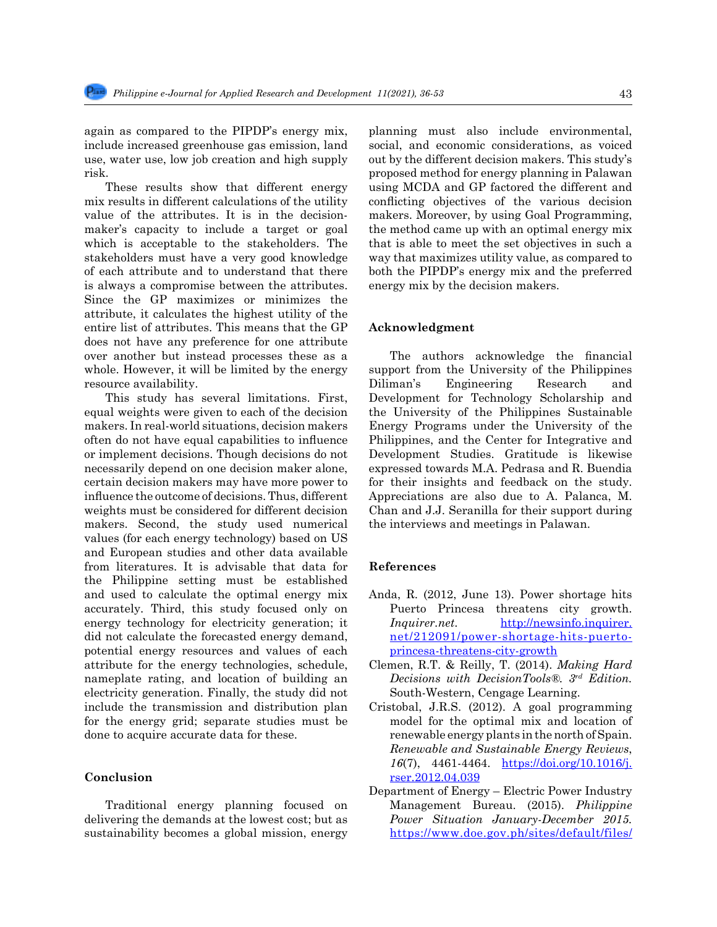again as compared to the PIPDP's energy mix, include increased greenhouse gas emission, land use, water use, low job creation and high supply risk.

These results show that different energy mix results in different calculations of the utility value of the attributes. It is in the decisionmaker's capacity to include a target or goal which is acceptable to the stakeholders. The stakeholders must have a very good knowledge of each attribute and to understand that there is always a compromise between the attributes. Since the GP maximizes or minimizes the attribute, it calculates the highest utility of the entire list of attributes. This means that the GP does not have any preference for one attribute over another but instead processes these as a whole. However, it will be limited by the energy resource availability.

This study has several limitations. First, equal weights were given to each of the decision makers. In real-world situations, decision makers often do not have equal capabilities to influence or implement decisions. Though decisions do not necessarily depend on one decision maker alone, certain decision makers may have more power to influence the outcome of decisions. Thus, different weights must be considered for different decision makers. Second, the study used numerical values (for each energy technology) based on US and European studies and other data available from literatures. It is advisable that data for the Philippine setting must be established and used to calculate the optimal energy mix accurately. Third, this study focused only on energy technology for electricity generation; it did not calculate the forecasted energy demand, potential energy resources and values of each attribute for the energy technologies, schedule, nameplate rating, and location of building an electricity generation. Finally, the study did not include the transmission and distribution plan for the energy grid; separate studies must be done to acquire accurate data for these.

### **Conclusion**

Traditional energy planning focused on delivering the demands at the lowest cost; but as sustainability becomes a global mission, energy planning must also include environmental, social, and economic considerations, as voiced out by the different decision makers. This study's proposed method for energy planning in Palawan using MCDA and GP factored the different and conflicting objectives of the various decision makers. Moreover, by using Goal Programming, the method came up with an optimal energy mix that is able to meet the set objectives in such a way that maximizes utility value, as compared to both the PIPDP's energy mix and the preferred energy mix by the decision makers.

## **Acknowledgment**

The authors acknowledge the financial support from the University of the Philippines Diliman's Engineering Research and Development for Technology Scholarship and the University of the Philippines Sustainable Energy Programs under the University of the Philippines, and the Center for Integrative and Development Studies. Gratitude is likewise expressed towards M.A. Pedrasa and R. Buendia for their insights and feedback on the study. Appreciations are also due to A. Palanca, M. Chan and J.J. Seranilla for their support during the interviews and meetings in Palawan.

### **References**

- Anda, R. (2012, June 13). Power shortage hits Puerto Princesa threatens city growth. *Inquirer.net.* [http://newsinfo.inquirer.](http://newsinfo.inquirer.net/212091/power-shortage-hits-puerto-princesa-threatens-city-growth) [net/212091/power-shortage-hits-puerto](http://newsinfo.inquirer.net/212091/power-shortage-hits-puerto-princesa-threatens-city-growth)[princesa-threatens-city-growth](http://newsinfo.inquirer.net/212091/power-shortage-hits-puerto-princesa-threatens-city-growth)
- Clemen, R.T. & Reilly, T. (2014). *Making Hard Decisions with DecisionTools®. 3rd Edition.*  South-Western, Cengage Learning.
- Cristobal, J.R.S. (2012). A goal programming model for the optimal mix and location of renewable energy plants in the north of Spain. *Renewable and Sustainable Energy Reviews*, *16*(7), 4461-4464. [https://doi.org/10.1016/j.](https://doi.org/10.1016/j.rser.2012.04.039) [rser.2012.04.039](https://doi.org/10.1016/j.rser.2012.04.039)
- Department of Energy Electric Power Industry Management Bureau. (2015). *Philippine Power Situation January-December 2015.*  [https://www.doe.gov.ph/sites/default/files/](https://www.doe.gov.ph/sites/default/files/pdf/electric_power/2015_power_situation_report.pdf)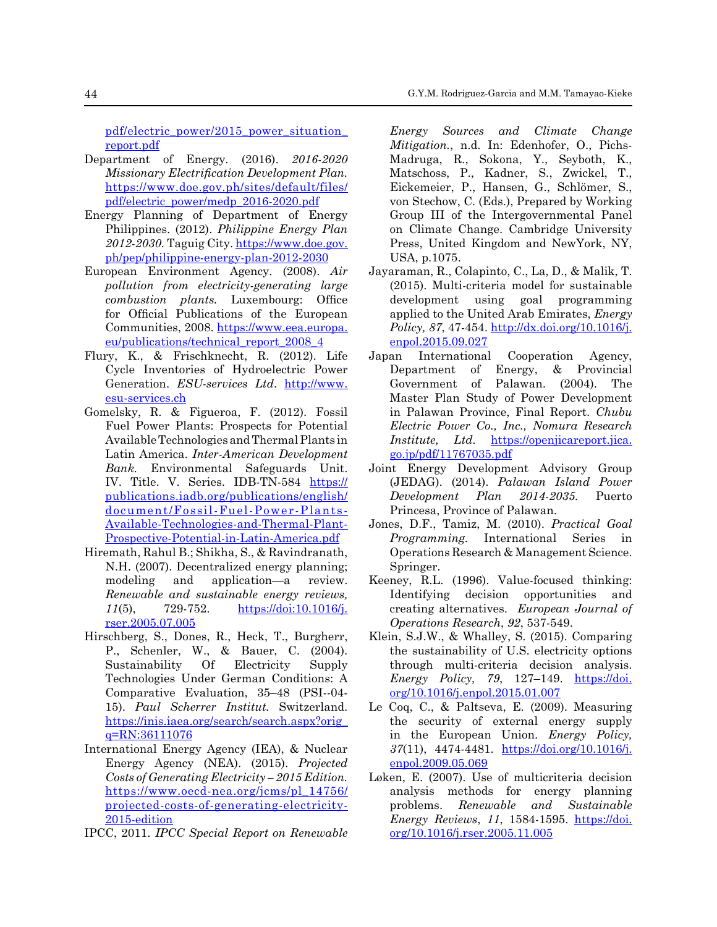[pdf/electric\\_power/2015\\_power\\_situation\\_](https://www.doe.gov.ph/sites/default/files/pdf/electric_power/2015_power_situation_report.pdf) [report.pdf](https://www.doe.gov.ph/sites/default/files/pdf/electric_power/2015_power_situation_report.pdf)

- Department of Energy. (2016). *2016-2020 Missionary Electrification Development Plan.* [https://www.doe.gov.ph/sites/default/files/](https://www.doe.gov.ph/sites/default/files/pdf/electric_power/medp_2016-2020.pdf) [pdf/electric\\_power/medp\\_2016-2020.pdf](https://www.doe.gov.ph/sites/default/files/pdf/electric_power/medp_2016-2020.pdf)
- Energy Planning of Department of Energy Philippines. (2012). *Philippine Energy Plan 2012-2030.* Taguig City. [https://www.doe.gov.](https://www.doe.gov.ph/pep/philippine-energy-plan-2012-2030) [ph/pep/philippine-energy-plan-2012-2030](https://www.doe.gov.ph/pep/philippine-energy-plan-2012-2030)
- European Environment Agency. (2008). *Air pollution from electricity-generating large combustion plants.* Luxembourg: Office for Official Publications of the European Communities, 2008. [https://www.eea.europa.](https://www.eea.europa.eu/publications/technical_report_2008_4) [eu/publications/technical\\_report\\_2008\\_4](https://www.eea.europa.eu/publications/technical_report_2008_4)
- Flury, K., & Frischknecht, R. (2012). Life Cycle Inventories of Hydroelectric Power Generation. *ESU-services Ltd*. [http://www.](http://www.esu-services.ch) [esu-services.ch](http://www.esu-services.ch)
- Gomelsky, R. & Figueroa, F. (2012). Fossil Fuel Power Plants: Prospects for Potential Available Technologies and Thermal Plants in Latin America. *Inter-American Development Bank.* Environmental Safeguards Unit. IV. Title. V. Series. IDB-TN-584 [https://](https://publications.iadb.org/publications/english/document/Fossil-Fuel-Power-Plants-Available-Technologies-and-Thermal-Plant-Prospective-Potential-in-Latin-America.pdf) [publications.iadb.org/publications/english/](https://publications.iadb.org/publications/english/document/Fossil-Fuel-Power-Plants-Available-Technologies-and-Thermal-Plant-Prospective-Potential-in-Latin-America.pdf) [document/Fossil-Fuel-Power-Plants-](https://publications.iadb.org/publications/english/document/Fossil-Fuel-Power-Plants-Available-Technologies-and-Thermal-Plant-Prospective-Potential-in-Latin-America.pdf)[Available-Technologies-and-Thermal-Plant-](https://publications.iadb.org/publications/english/document/Fossil-Fuel-Power-Plants-Available-Technologies-and-Thermal-Plant-Prospective-Potential-in-Latin-America.pdf)[Prospective-Potential-in-Latin-America.pdf](https://publications.iadb.org/publications/english/document/Fossil-Fuel-Power-Plants-Available-Technologies-and-Thermal-Plant-Prospective-Potential-in-Latin-America.pdf)
- Hiremath, Rahul B.; Shikha, S., & Ravindranath, N.H. (2007). Decentralized energy planning; modeling and application—a review. *Renewable and sustainable energy reviews, 11*(5), 729-752. [https://doi:10.1016/j.](https://doi:10.1016/j.rser.2005.07.005) [rser.2005.07.005](https://doi:10.1016/j.rser.2005.07.005)
- Hirschberg, S., Dones, R., Heck, T., Burgherr, P., Schenler, W., & Bauer, C. (2004). Sustainability Of Electricity Supply Technologies Under German Conditions: A Comparative Evaluation, 35–48 (PSI--04- 15). *Paul Scherrer Institut.* Switzerland. [https://inis.iaea.org/search/search.aspx?orig\\_](https://inis.iaea.org/search/search.aspx?orig_q=RN:36111076) [q=RN:36111076](https://inis.iaea.org/search/search.aspx?orig_q=RN:36111076)
- International Energy Agency (IEA), & Nuclear Energy Agency (NEA). (2015). *Projected Costs of Generating Electricity – 2015 Edition.* [https://www.oecd-nea.org/jcms/pl\\_14756/](https://www.oecd-nea.org/jcms/pl_14756/projected-costs-of-generating-electricity-2015-edition) [projected-costs-of-generating-electricity-](https://www.oecd-nea.org/jcms/pl_14756/projected-costs-of-generating-electricity-2015-edition)[2015-edition](https://www.oecd-nea.org/jcms/pl_14756/projected-costs-of-generating-electricity-2015-edition)
- IPCC, 2011. *IPCC Special Report on Renewable*

*Energy Sources and Climate Change Mitigation.*, n.d. In: Edenhofer, O., Pichs-Madruga, R., Sokona, Y., Seyboth, K., Matschoss, P., Kadner, S., Zwickel, T., Eickemeier, P., Hansen, G., Schlömer, S., von Stechow, C. (Eds.), Prepared by Working Group III of the Intergovernmental Panel on Climate Change. Cambridge University Press, United Kingdom and NewYork, NY, USA, p.1075.

- Jayaraman, R., Colapinto, C., La, D., & Malik, T. (2015). Multi-criteria model for sustainable development using goal programming applied to the United Arab Emirates, *Energy Policy, 87*, 47-454. [http://dx.doi.org/10.1016/j.](http://dx.doi.org/10.1016/j.enpol.2015.09.027) [enpol.2015.09.027](http://dx.doi.org/10.1016/j.enpol.2015.09.027)
- Japan International Cooperation Agency, Department of Energy, & Provincial Government of Palawan. (2004). The Master Plan Study of Power Development in Palawan Province, Final Report. *Chubu Electric Power Co., Inc., Nomura Research Institute, Ltd.* [https://openjicareport.jica.](https://openjicareport.jica.go.jp/pdf/11767035.pdf) [go.jp/pdf/11767035.pdf](https://openjicareport.jica.go.jp/pdf/11767035.pdf)
- Joint Energy Development Advisory Group (JEDAG). (2014). *Palawan Island Power Development Plan 2014-2035.* Puerto Princesa, Province of Palawan.
- Jones, D.F., Tamiz, M. (2010). *Practical Goal Programming.* International Series in Operations Research & Management Science. Springer.
- Keeney, R.L. (1996). Value-focused thinking: Identifying decision opportunities and creating alternatives. *European Journal of Operations Research*, *92*, 537-549.
- Klein, S.J.W., & Whalley, S. (2015). Comparing the sustainability of U.S. electricity options through multi-criteria decision analysis. *Energy Policy, 79*, 127–149. [https://doi.](https://doi.org/10.1016/j.enpol.2015.01.007) [org/10.1016/j.enpol.2015.01.007](https://doi.org/10.1016/j.enpol.2015.01.007)
- Le Coq, C., & Paltseva, E. (2009). Measuring the security of external energy supply in the European Union. *Energy Policy, 37*(11), 4474-4481. [https://doi.org/10.1016/j.](https://doi.org/10.1016/j.enpol.2009.05.069) [enpol.2009.05.069](https://doi.org/10.1016/j.enpol.2009.05.069)
- Løken, E. (2007). Use of multicriteria decision analysis methods for energy planning problems. *Renewable and Sustainable Energy Reviews*, *11*, 1584-1595. [https://doi.](https://doi.org/10.1016/j.rser.2005.11.005) [org/10.1016/j.rser.2005.11.005](https://doi.org/10.1016/j.rser.2005.11.005)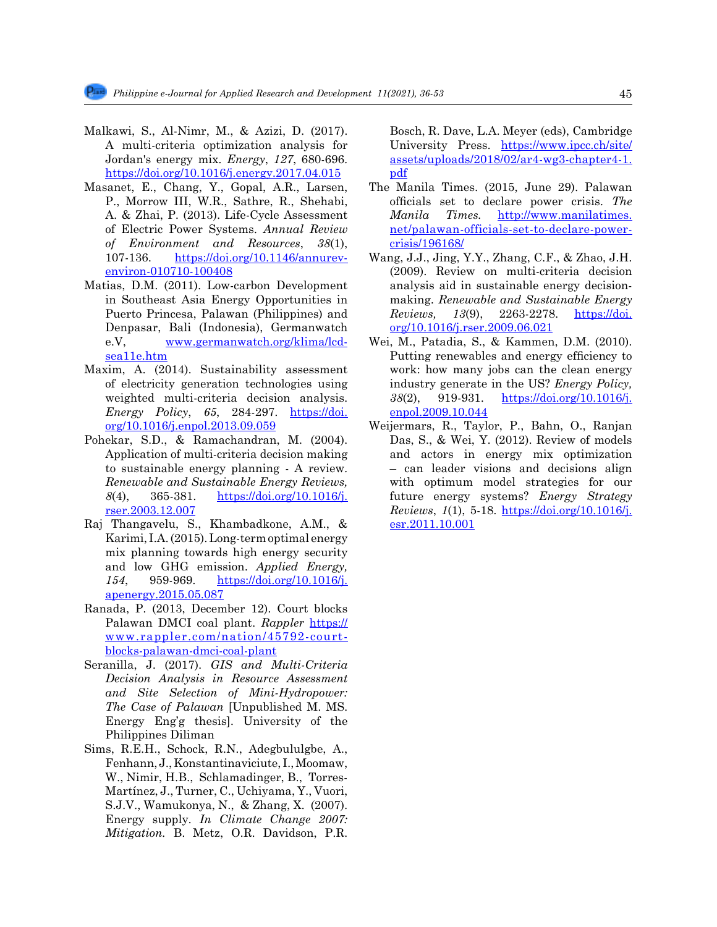- Malkawi, S., Al-Nimr, M., & Azizi, D. (2017). A multi-criteria optimization analysis for Jordan's energy mix. *Energy*, *127*, 680-696. <https://doi.org/10.1016/j.energy.2017.04.015>
- Masanet, E., Chang, Y., Gopal, A.R., Larsen, P., Morrow III, W.R., Sathre, R., Shehabi, A. & Zhai, P. (2013). Life-Cycle Assessment of Electric Power Systems. *Annual Review of Environment and Resources*, *38*(1), 107-136. [https://doi.org/10.1146/annurev](https://doi.org/10.1146/annurev-environ-010710-100408)[environ-010710-100408](https://doi.org/10.1146/annurev-environ-010710-100408)
- Matias, D.M. (2011). Low-carbon Development in Southeast Asia Energy Opportunities in Puerto Princesa, Palawan (Philippines) and Denpasar, Bali (Indonesia), Germanwatch e.V, [www.germanwatch.org/klima/lcd](http://www.germanwatch.org/klima/lcd-sea11e.htm)[sea11e.htm](http://www.germanwatch.org/klima/lcd-sea11e.htm)
- Maxim, A. (2014). Sustainability assessment of electricity generation technologies using weighted multi-criteria decision analysis. *Energy Policy*, *65*, 284-297. [https://doi.](https://doi.org/10.1016/j.enpol.2013.09.059) [org/10.1016/j.enpol.2013.09.059](https://doi.org/10.1016/j.enpol.2013.09.059)
- Pohekar, S.D., & Ramachandran, M. (2004). Application of multi-criteria decision making to sustainable energy planning - A review. *Renewable and Sustainable Energy Reviews, 8*(4), 365-381. [https://doi.org/10.1016/j.](https://doi.org/10.1016/j.rser.2003.12.007) [rser.2003.12.007](https://doi.org/10.1016/j.rser.2003.12.007)
- Raj Thangavelu, S., Khambadkone, A.M., & Karimi, I.A. (2015). Long-term optimal energy mix planning towards high energy security and low GHG emission. *Applied Energy, 154*, 959-969. [https://doi.org/10.1016/j.](https://doi.org/10.1016/j.apenergy.2015.05.087) [apenergy.2015.05.087](https://doi.org/10.1016/j.apenergy.2015.05.087)
- Ranada, P. (2013, December 12). Court blocks Palawan DMCI coal plant. *Rappler* [https://](https://www.rappler.com/nation/45792-court-blocks-palawan-dmci-coal-plant) [www.rappler.com/nation/45792-court](https://www.rappler.com/nation/45792-court-blocks-palawan-dmci-coal-plant)[blocks-palawan-dmci-coal-plant](https://www.rappler.com/nation/45792-court-blocks-palawan-dmci-coal-plant)
- Seranilla, J. (2017). *GIS and Multi-Criteria Decision Analysis in Resource Assessment and Site Selection of Mini-Hydropower: The Case of Palawan* [Unpublished M. MS. Energy Eng'g thesis]. University of the Philippines Diliman
- Sims, R.E.H., Schock, R.N., Adegbululgbe, A., Fenhann, J., Konstantinaviciute, I., Moomaw, W., Nimir, H.B., Schlamadinger, B., Torres-Martínez, J., Turner, C., Uchiyama, Y., Vuori, S.J.V., Wamukonya, N., & Zhang, X. (2007). Energy supply. *In Climate Change 2007: Mitigation.* B. Metz, O.R. Davidson, P.R.

Bosch, R. Dave, L.A. Meyer (eds), Cambridge University Press. [https://www.ipcc.ch/site/](https://www.ipcc.ch/site/assets/uploads/2018/02/ar4-wg3-chapter4-1.pdf) [assets/uploads/2018/02/ar4-wg3-chapter4-1.](https://www.ipcc.ch/site/assets/uploads/2018/02/ar4-wg3-chapter4-1.pdf) [pdf](https://www.ipcc.ch/site/assets/uploads/2018/02/ar4-wg3-chapter4-1.pdf)

- The Manila Times. (2015, June 29). Palawan officials set to declare power crisis. *The Manila Times.* [http://www.manilatimes.](http://www.manilatimes.net/palawan-officials-set-to-declare-power-crisis/196168/) [net/palawan-officials-set-to-declare-power](http://www.manilatimes.net/palawan-officials-set-to-declare-power-crisis/196168/)[crisis/196168/](http://www.manilatimes.net/palawan-officials-set-to-declare-power-crisis/196168/)
- Wang, J.J., Jing, Y.Y., Zhang, C.F., & Zhao, J.H. (2009). Review on multi-criteria decision analysis aid in sustainable energy decisionmaking. *Renewable and Sustainable Energy Reviews, 13*(9), 2263-2278. [https://doi.](https://doi.org/10.1016/j.rser.2009.06.021) [org/10.1016/j.rser.2009.06.021](https://doi.org/10.1016/j.rser.2009.06.021)
- Wei, M., Patadia, S., & Kammen, D.M. (2010). Putting renewables and energy efficiency to work: how many jobs can the clean energy industry generate in the US? *Energy Policy, 38*(2), 919-931. [https://doi.org/10.1016/j.](https://doi.org/10.1016/j.enpol.2009.10.044) [enpol.2009.10.044](https://doi.org/10.1016/j.enpol.2009.10.044)
- Weijermars, R., Taylor, P., Bahn, O., Ranjan Das, S., & Wei, Y. (2012). Review of models and actors in energy mix optimization – can leader visions and decisions align with optimum model strategies for our future energy systems? *Energy Strategy Reviews*, *1*(1), 5-18. [https://doi.org/10.1016/j.](https://doi.org/10.1016/j.esr.2011.10.001) [esr.2011.10.001](https://doi.org/10.1016/j.esr.2011.10.001)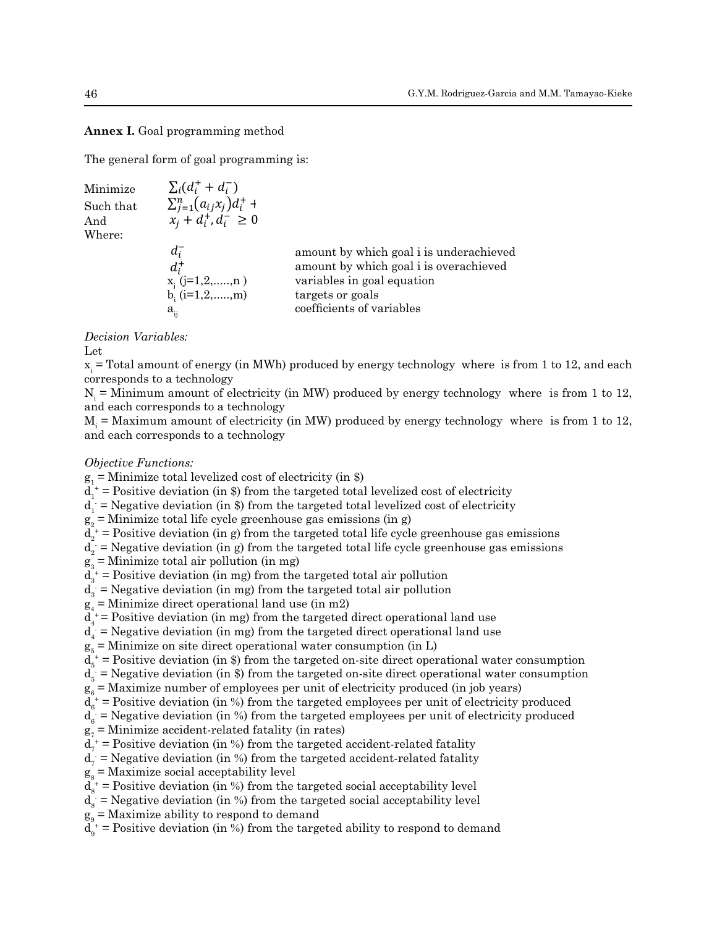Annex I. Goal programming method

The general form of goal programming is:

| Minimize<br>Such that<br>And<br>Where: | $\sum_i (d_i^+ + d_i^-)$<br>$\sum_{i=1}^{n} (a_{ij}x_i) d_i^+$ +<br>$x_i + d_i^+, d_i^- \geq 0$ |                                                                                                                                                                  |
|----------------------------------------|-------------------------------------------------------------------------------------------------|------------------------------------------------------------------------------------------------------------------------------------------------------------------|
|                                        | $d_i^-$<br>$d_i^+$<br>$x_j$ (j=1,2,,n)<br>b <sub>i</sub> (i=1,2,,m)<br>$a_{ij}$                 | amount by which goal i is underachieved<br>amount by which goal i is overachieved<br>variables in goal equation<br>targets or goals<br>coefficients of variables |

476 *Decision Variables:* 475476*Decision Variables:* 476 *Decision Variables:* 476 *Decision Variables:* 476 *Decision Variables: Decision Variables:* Let

 $\frac{1}{x}$  $A_i$  = Total amount of energy (in MWh) produced by energy technology where is from 1 to 12, and corresponds to a technology  $\frac{4}{3}$  Total amount of energy  $\left(\text{in } M, \mu\right)$  produced by energy technology where is from 1 to 12, and  $\frac{1}{2}$  $A_i$  = Total amount of energy (in MWh) produced by energy technology where is from 1 to 12, and<br>corresponds to a technology  $\text{Let }$ <br> $\text{H} = \text{7}$  $x_i$  = Total amount of energy (in MWh) produced by energy technology where is from 1 to 12, and each corresponds to a technology

 $N_i$  = Minimum amount of electricity (in MW) produced by energy technology where is from 1 to 12, and each corresponds to a technology

 $M_i$  = Maximum amount of electricity (in MW) produced by energy technology where is from 1 to 12, and each corresponds to a technology

## *Objective Functions:*

*Objective Functions:*<br>g<sub>1</sub> = Minimize total levelized cost of electricity (in \$)

 $d_1^{\dagger}$  = Positive deviation (in \$) from the targeted total levelized cost of electricity

 $d_1$  = Negative deviation (in \$) from the targeted total levelized cost of electricity

 $g_2$  = Minimize total life cycle greenhouse gas emissions (in g)

 $d_2^+$  = Positive deviation (in g) from the targeted total life cycle greenhouse gas emissions

 $\frac{1}{2}$  $d_2$  = Negative deviation (in g) from the targeted total life cycle greenhouse gas emissions

 $g_3 =$  Minimize total air pollution (in mg)  $g_3$  = Minimize total air polition (in mg)<br> $d_1$  + – Desitive deviation (in mg) from the targeted total sin pollution

 $g_3$  = Minimize total air pollution (in mg)<br> $g_3$  + – Positive deviation (in mg) from the terreted total air pollution  $a_3$  = rostlive deviation (in mg) from the  $d_3^*$  = Positive deviation (in mg) from the targeted total air pollution

 $d_3 = 1$  usitive deviation (in mg) from the<br>  $d_3 =$  Negative deviation (in mg) from the<br>  $g =$  Minimize direct operational land us  $a_3$  = Negative deviation (in mg) from the targeted total air pollution<br> $a_3$  = Minimize direct energtional lead use (in m?)  $d_3 = 1$  bestave deviation (in mg) from the targeted total air pollution  $d_3 =$  Negative deviation (in mg) from the targeted total air pollution

 $a_3$  – Negative deviation (in mg) from the targeted total and pollution<br> $g_4$  = Minimize direct operational land use (in m2)

 $g_4$  – Minimize unect operational rand use (in m2)<br> $d_4$ <sup>+</sup> = Positive deviation (in mg) from the targeted direct operational land use

 $d_4$  Testative deviation (in mg) from the targeted direct operational land use

 $g_5$  = Minimize on site direct operational water consumption (in L)<br>d<sub>x</sub><sup>+</sup> = Positive deviation (in \$) from the targeted on-site direct operational wa

 $d_s^+$  = Positive deviation (in \$) from the targeted on-site direct operational water consumption

 $d_{5}^{\prime}$  = Negative deviation (in \$) from the targeted on-site direct operational water consumption

 $g_6^{\circ}$  = Maximize number of employees per unit of electricity produced (in job years)

 $\overline{d}_{6}^{\prime}$  = Positive deviation (in %) from the targeted employees per unit of electricity produced

 $d_{\rm g}$  = Negative deviation (in %) from the targeted employees per unit of electricity produced

 $g_7$  = Minimize accident-related fatality (in rates)

 $d_7^+$  = Positive deviation (in %) from the targeted accident-related fatality

 $d_7$  = Negative deviation (in %) from the targeted accident-related fatality

 $g_8$  = Maximize social acceptability level<br> $d^+$  = Docitive deviation (in %) from the targeted accident-relation level  $g_s =$  Maximize social acceptability level<br> $f_s = \frac{1}{2}$  from the targeted accident-relative late  $g_s$  = Maximize social acceptability level<br> $d_t + D_{\text{coitting}}$  deviation (in %) from the targeted accident contributive level  $g_s =$  Maximize social acceptability level<br> $\frac{1}{1 + \epsilon}$  in  $\frac{1}{1 + \epsilon}$  from the targeted factor factor factor factor factor factor factor factor factor factor factor factor factor factor factor factor factor factor factor

 $a_s$  – Fositive deviation (in %) from the targeted social acceptability leve  $d_{\alpha}^{\dagger}$  = Positive deviation (in %) from the targeted social acceptability level  $d_s^*$  = Positive deviation (in %) from the targeted social acceptability level

 $d_8$  = Negative deviation (in %) from the targeted social acceptability level  $d_8$  = Negative deviation (in %) from the targeted social acceptability level

 $a_s$  – Negative deviation (in %) from the target<br> $g_s$  = Maximize ability to respond to demand

 $d_9^+$  = Positive deviation (in %) from the targeted ability to respond to demand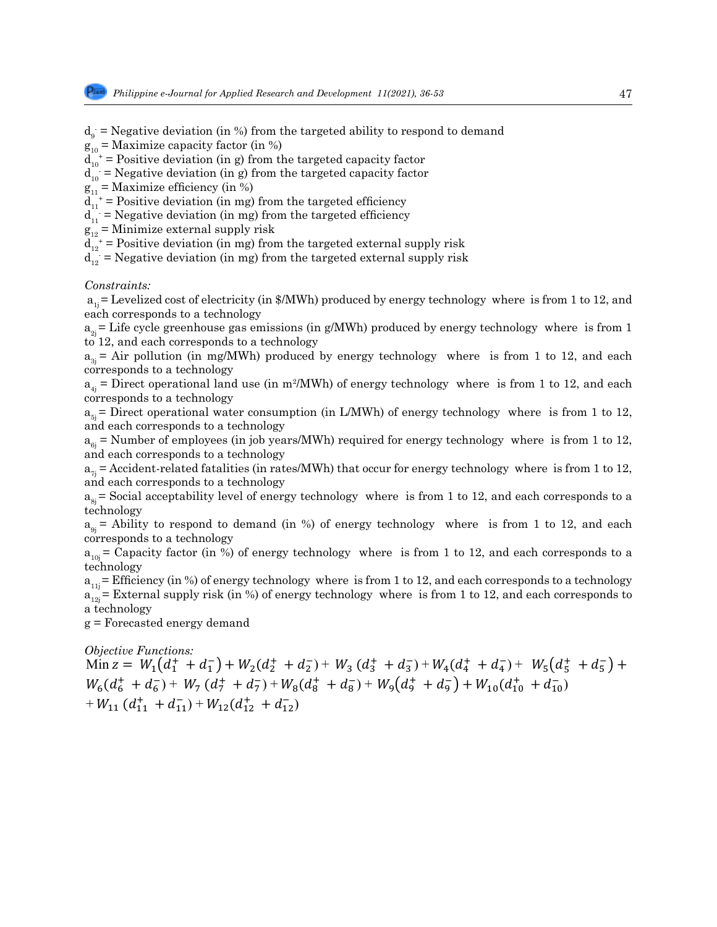$d_g$  = Negative deviation (in %) from the targeted ability to respond to demand

 $g_{10}$  = Maximize capacity factor (in %)

 $d_{10}^+$  = Positive deviation (in g) from the targeted capacity factor

 $d_{10}$  = Negative deviation (in g) from the targeted capacity factor<br> $d_{10}$  = Meximine officiency (in  $\frac{1}{2}$ )

 $g_{11}$  = Maximize efficiency (in %)

 $d_{11}^{\dagger}$  = Positive deviation (in mg) from the targeted efficiency

 $d_{11}$  = Negative deviation (in mg) from the targeted efficiency

 $g_{12}^{\prime\prime}$  = Minimize external supply risk

 $d_{12}^{\dagger}$  = Positive deviation (in mg) from the targeted external supply risk

 $d_{12}$  = Negative deviation (in mg) from the targeted external supply risk

#### *Constraints:*  $\sigma$  is to 12, and each corresponds to a technology  $\sigma$

constraints.<br>  $a_{1j}$  = Levelized cost of electricity (in \$/MWh) produced by energy technology where  $i$ s from 1 to 12, and  $a_{1j}$  Ecvends to a technology

cach corresponds to a coentrology<br> $a_{2j}$  = Life cycle greenhouse gas emissions (in g/MWh) produced by energy technology where is from 1  $\overline{5}$  12, and each corresponds to a technology

 $a_{3j}$  = Air pollution (in mg/MWh) produced by energy technology where is from 1 to 12, and each  $\frac{1}{3}$  corresponds to a technology  $\frac{1}{3}$ 

 $a_{4j}$  = Direct operational land use (in m<sup>2</sup>/MWh) of energy technology where is from 1 to 12, and each corresponds to a technology corresponds to a technology

corresponds to a technology<br>  $a_{5j}$  = Direct operational water consumption (in L/MWh) of energy technology where is from 1 to 12,  $\alpha_{ij}$  = Accident-relation at the corresponds to a technology  $\alpha_{ij}$  and each corresponds to a technology

 $a_{6j}$  = Number of employees (in job years/MWh) required for energy technology where is from 1 to 12, and each corresponds to a technology  $\frac{1}{2}$  and each corresponds to a technology technology technology technology technology technology technology technology technology technology technology technology technology techno

 $a_{\tau i}$  = Accident-related fatalities (in rates/MWh) that occur for energy technology where is from 1 to 12, and each corresponds to a technology

and each corresponds to a technology<br>a<sub>sj</sub>= Social acceptability level of energy technology where is from 1 to 12, and each corresponds to a technology  $a_{sj}$  = Social acceptability level

determinople is the technology of energy technology where is from 1 to 12, and each  $a_{9j}$  = Ability to respond to demand (in %) of energy technology where is from 1 to 12, and each  $\frac{a_{9j}}{s}$  is the separate to a

 $a_{10j}$  = Capacity factor (in %) of energy technology where is from 1 to 12, and each corresponds to a technology 545 technology

 $a_{11j}$  = Efficiency (in %) of energy technology where is from 1 to 12, and each corresponds to a technology  $a_{12}$  = External supply risk (in %) of energy technology where is from 1 to 12, and each corresponds to a technology

g = Forecasted energy demand 548 g = Forecasted energy demand

# *Objective Functions:* 550 *Objective Functions:*

Min z =  $W_1(d_1^+ + d_1^-) + W_2(d_2^+ + d_2^-) + W_3(d_3^+ + d_3^-) + W_4(d_4^+ + d_4^-) + W_5(d_5^+ + d_5^-) +$  $W_6(d_6^+ + d_6^-) + W_7(d_7^+ + d_7^-) + W_8(d_8^+ + d_8^-) + W_9(d_9^+ + d_9^-) + W_{10}(d_{10}^+ + d_{10}^-)$  $+W_{11}$   $(d_{11}^+ + d_{11}^-)$  +  $W_{12}(d_{12}^+ + d_{12}^-)$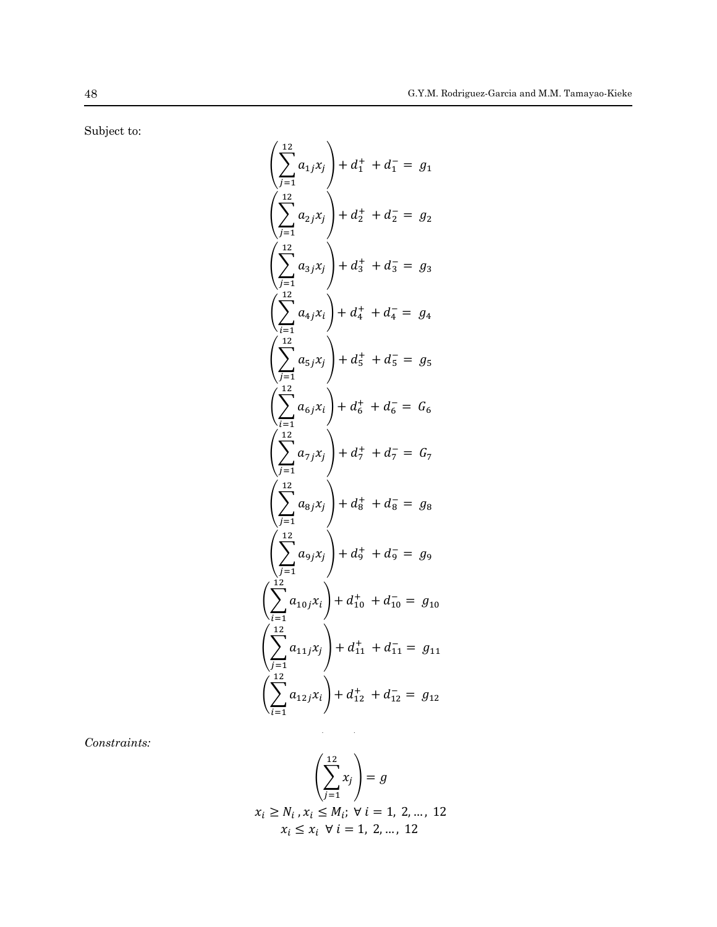Subject to:

$$
\left(\sum_{j=1}^{12} a_{1j}x_j\right) + d_1^+ + d_1^- = g_1
$$
\n
$$
\left(\sum_{j=1}^{12} a_{2j}x_j\right) + d_2^+ + d_2^- = g_2
$$
\n
$$
\left(\sum_{j=1}^{12} a_{3j}x_j\right) + d_3^+ + d_3^- = g_3
$$
\n
$$
\left(\sum_{i=1}^{12} a_{4j}x_i\right) + d_4^+ + d_4^- = g_4
$$
\n
$$
\left(\sum_{i=1}^{12} a_{5j}x_j\right) + d_5^+ + d_5^- = g_5
$$
\n
$$
\left(\sum_{i=1}^{12} a_{6j}x_i\right) + d_6^+ + d_6^- = G_6
$$
\n
$$
\left(\sum_{j=1}^{12} a_{7j}x_j\right) + d_7^+ + d_7^- = G_7
$$
\n
$$
\left(\sum_{j=1}^{12} a_{9j}x_j\right) + d_9^+ + d_9^- = g_8
$$
\n
$$
\left(\sum_{j=1}^{12} a_{9j}x_j\right) + d_9^+ + d_{10}^- = g_{10}
$$
\n
$$
\left(\sum_{i=1}^{12} a_{10j}x_i\right) + d_{11}^+ + d_{11}^- = g_{11}
$$
\n
$$
\left(\sum_{i=1}^{12} a_{11j}x_j\right) + d_{12}^+ + d_{12}^- = g_{12}
$$

*Constraints:* 567 *Constraints:*

$$
\left(\sum_{j=1}^{12} x_j\right) = g
$$
  
 $x_i \ge N_i, x_i \le M_i; \forall i = 1, 2, ..., 12$   
 $x_i \le x_i \forall i = 1, 2, ..., 12$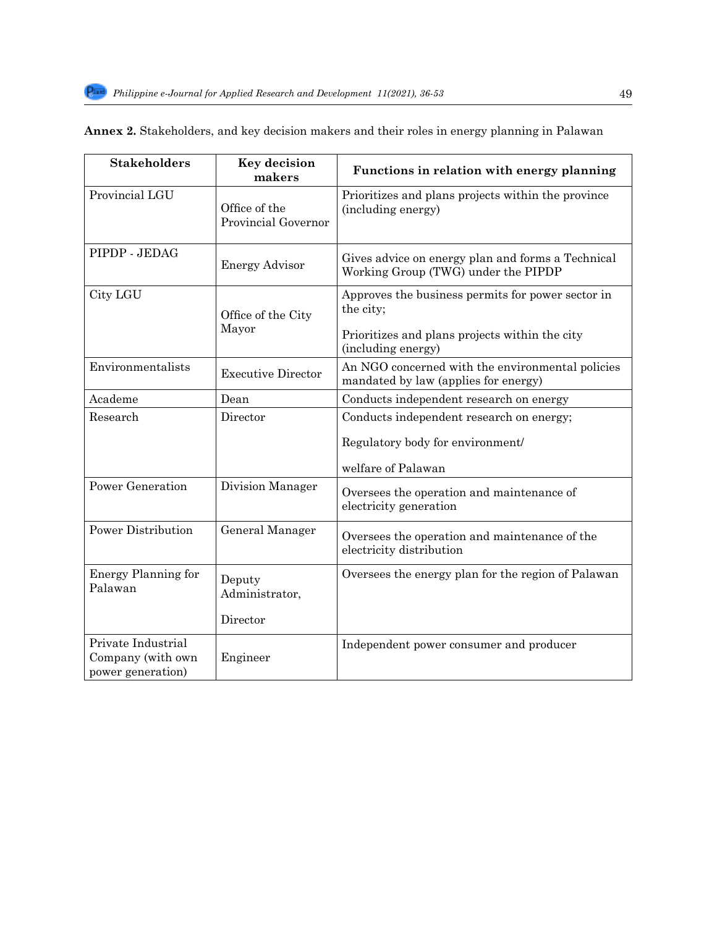| <b>Stakeholders</b>                                          | <b>Key decision</b><br>makers        | Functions in relation with energy planning                                                                                             |
|--------------------------------------------------------------|--------------------------------------|----------------------------------------------------------------------------------------------------------------------------------------|
| Provincial LGU                                               | Office of the<br>Provincial Governor | Prioritizes and plans projects within the province<br>(including energy)                                                               |
| PIPDP - JEDAG                                                | <b>Energy Advisor</b>                | Gives advice on energy plan and forms a Technical<br>Working Group (TWG) under the PIPDP                                               |
| City LGU                                                     | Office of the City<br>Mayor          | Approves the business permits for power sector in<br>the city;<br>Prioritizes and plans projects within the city<br>(including energy) |
| Environmentalists                                            | <b>Executive Director</b>            | An NGO concerned with the environmental policies<br>mandated by law (applies for energy)                                               |
| Academe                                                      | Dean                                 | Conducts independent research on energy                                                                                                |
| Research                                                     | Director                             | Conducts independent research on energy;<br>Regulatory body for environment/<br>welfare of Palawan                                     |
| <b>Power Generation</b>                                      | Division Manager                     | Oversees the operation and maintenance of<br>electricity generation                                                                    |
| <b>Power Distribution</b>                                    | General Manager                      | Oversees the operation and maintenance of the<br>electricity distribution                                                              |
| Energy Planning for<br>Palawan                               | Deputy<br>Administrator,<br>Director | Oversees the energy plan for the region of Palawan                                                                                     |
| Private Industrial<br>Company (with own<br>power generation) | Engineer                             | Independent power consumer and producer                                                                                                |

|  |  |  |  | Annex 2. Stakeholders, and key decision makers and their roles in energy planning in Palawan |
|--|--|--|--|----------------------------------------------------------------------------------------------|
|--|--|--|--|----------------------------------------------------------------------------------------------|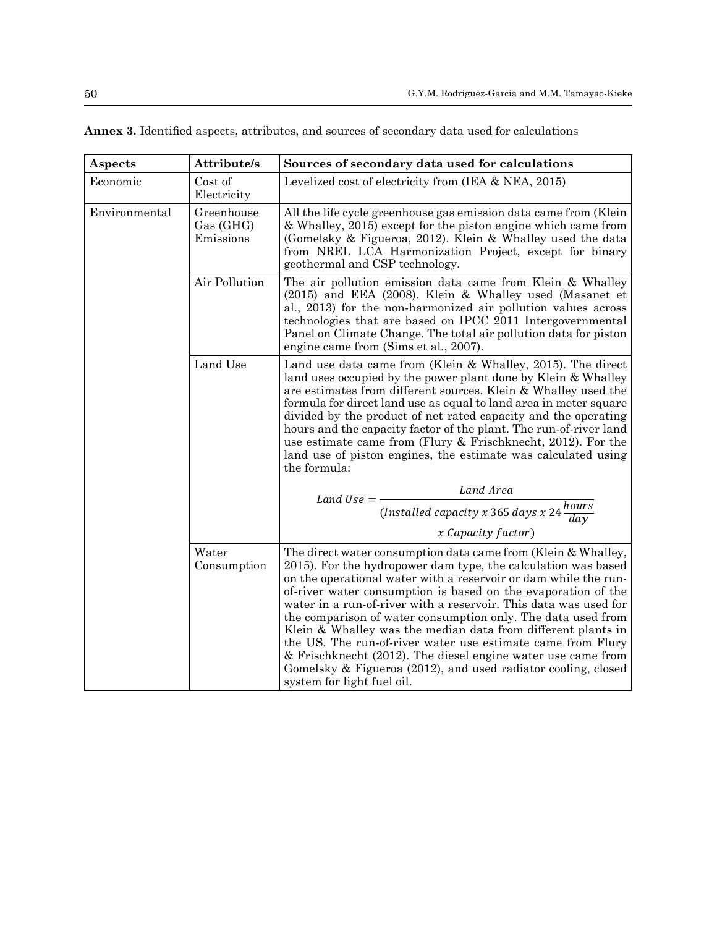| <b>Aspects</b> | Attribute/s                          | Sources of secondary data used for calculations                                                                                                                                                                                                                                                                                                                                                                                                                                                                                                                                                                                                                                                      |
|----------------|--------------------------------------|------------------------------------------------------------------------------------------------------------------------------------------------------------------------------------------------------------------------------------------------------------------------------------------------------------------------------------------------------------------------------------------------------------------------------------------------------------------------------------------------------------------------------------------------------------------------------------------------------------------------------------------------------------------------------------------------------|
| Economic       | Cost of<br>Electricity               | Levelized cost of electricity from (IEA & NEA, 2015)                                                                                                                                                                                                                                                                                                                                                                                                                                                                                                                                                                                                                                                 |
| Environmental  | Greenhouse<br>Gas (GHG)<br>Emissions | All the life cycle greenhouse gas emission data came from (Klein<br>& Whalley, 2015) except for the piston engine which came from<br>(Gomelsky & Figueroa, 2012). Klein & Whalley used the data<br>from NREL LCA Harmonization Project, except for binary<br>geothermal and CSP technology.                                                                                                                                                                                                                                                                                                                                                                                                          |
|                | Air Pollution                        | The air pollution emission data came from Klein & Whalley<br>(2015) and EEA (2008). Klein & Whalley used (Masanet et<br>al., 2013) for the non-harmonized air pollution values across<br>technologies that are based on IPCC 2011 Intergovernmental<br>Panel on Climate Change. The total air pollution data for piston<br>engine came from (Sims et al., 2007).                                                                                                                                                                                                                                                                                                                                     |
|                | Land Use                             | Land use data came from (Klein & Whalley, 2015). The direct<br>land uses occupied by the power plant done by Klein & Whalley<br>are estimates from different sources. Klein & Whalley used the<br>formula for direct land use as equal to land area in meter square<br>divided by the product of net rated capacity and the operating<br>hours and the capacity factor of the plant. The run-of-river land<br>use estimate came from (Flury & Frischknecht, 2012). For the<br>land use of piston engines, the estimate was calculated using<br>the formula:                                                                                                                                          |
|                |                                      | Land Area<br>Land Use $=$ $-$                                                                                                                                                                                                                                                                                                                                                                                                                                                                                                                                                                                                                                                                        |
|                |                                      | (Installed capacity x 365 days x $24 \frac{hours}{day}$ )                                                                                                                                                                                                                                                                                                                                                                                                                                                                                                                                                                                                                                            |
|                |                                      | x Capacity factor)                                                                                                                                                                                                                                                                                                                                                                                                                                                                                                                                                                                                                                                                                   |
|                | Water<br>Consumption                 | The direct water consumption data came from (Klein & Whalley,<br>2015). For the hydropower dam type, the calculation was based<br>on the operational water with a reservoir or dam while the run-<br>of-river water consumption is based on the evaporation of the<br>water in a run-of-river with a reservoir. This data was used for<br>the comparison of water consumption only. The data used from<br>Klein & Whalley was the median data from different plants in<br>the US. The run-of-river water use estimate came from Flury<br>& Frischknecht (2012). The diesel engine water use came from<br>Gomelsky & Figueroa (2012), and used radiator cooling, closed<br>system for light fuel oil. |

**Annex 3.** Identified aspects, attributes, and sources of secondary data used for calculations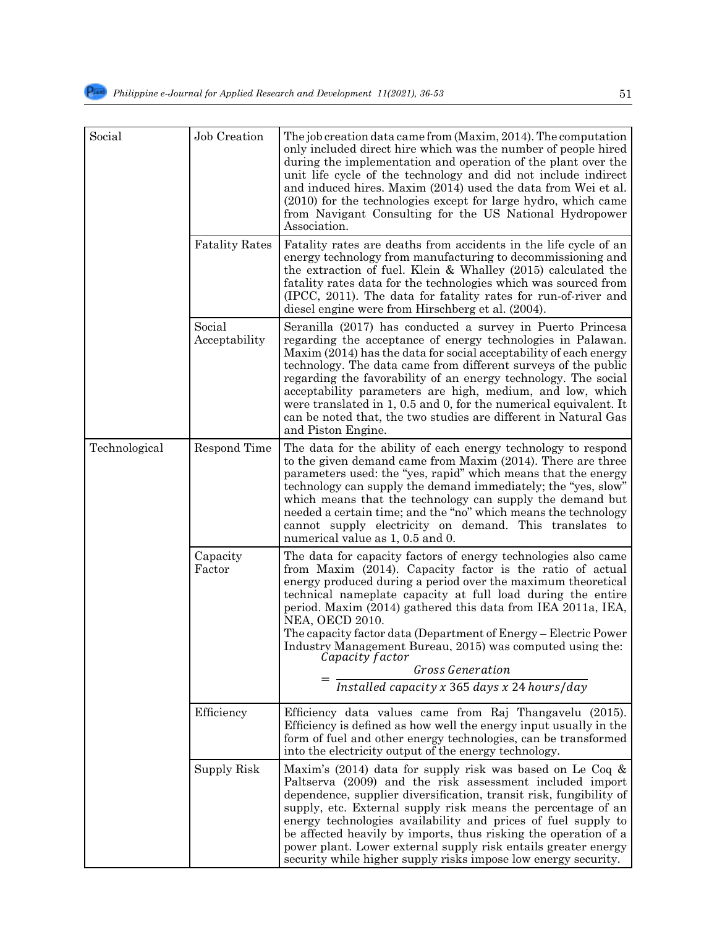| Social        | Job Creation            | The job creation data came from (Maxim, 2014). The computation<br>only included direct hire which was the number of people hired<br>during the implementation and operation of the plant over the<br>unit life cycle of the technology and did not include indirect<br>and induced hires. Maxim (2014) used the data from Wei et al.<br>$(2010)$ for the technologies except for large hydro, which came<br>from Navigant Consulting for the US National Hydropower<br>Association.                                                                                                |
|---------------|-------------------------|------------------------------------------------------------------------------------------------------------------------------------------------------------------------------------------------------------------------------------------------------------------------------------------------------------------------------------------------------------------------------------------------------------------------------------------------------------------------------------------------------------------------------------------------------------------------------------|
|               | <b>Fatality Rates</b>   | Fatality rates are deaths from accidents in the life cycle of an<br>energy technology from manufacturing to decommissioning and<br>the extraction of fuel. Klein & Whalley (2015) calculated the<br>fatality rates data for the technologies which was sourced from<br>(IPCC, 2011). The data for fatality rates for run-of-river and<br>diesel engine were from Hirschberg et al. (2004).                                                                                                                                                                                         |
|               | Social<br>Acceptability | Seranilla (2017) has conducted a survey in Puerto Princesa<br>regarding the acceptance of energy technologies in Palawan.<br>Maxim (2014) has the data for social acceptability of each energy<br>technology. The data came from different surveys of the public<br>regarding the favorability of an energy technology. The social<br>acceptability parameters are high, medium, and low, which<br>were translated in 1, 0.5 and 0, for the numerical equivalent. It<br>can be noted that, the two studies are different in Natural Gas<br>and Piston Engine.                      |
| Technological | Respond Time            | The data for the ability of each energy technology to respond<br>to the given demand came from Maxim (2014). There are three<br>parameters used: the "yes, rapid" which means that the energy<br>technology can supply the demand immediately; the "yes, slow"<br>which means that the technology can supply the demand but<br>needed a certain time; and the "no" which means the technology<br>cannot supply electricity on demand. This translates to<br>numerical value as 1, 0.5 and 0.                                                                                       |
|               | Capacity<br>Factor      | The data for capacity factors of energy technologies also came<br>from Maxim (2014). Capacity factor is the ratio of actual<br>energy produced during a period over the maximum theoretical<br>technical nameplate capacity at full load during the entire<br>period. Maxim (2014) gathered this data from IEA 2011a, IEA,<br><b>NEA, OECD 2010.</b><br>The capacity factor data (Department of Energy – Electric Power<br>Industry Management Bureau, 2015) was computed using the:<br>Capacity factor<br><b>Gross Generation</b><br>Installed capacity x 365 days x 24 hours/day |
|               | Efficiency              | Efficiency data values came from Raj Thangavelu (2015).<br>Efficiency is defined as how well the energy input usually in the<br>form of fuel and other energy technologies, can be transformed<br>into the electricity output of the energy technology.                                                                                                                                                                                                                                                                                                                            |
|               | Supply Risk             | Maxim's (2014) data for supply risk was based on Le Coq $\&$<br>Paltserva (2009) and the risk assessment included import<br>dependence, supplier diversification, transit risk, fungibility of<br>supply, etc. External supply risk means the percentage of an<br>energy technologies availability and prices of fuel supply to<br>be affected heavily by imports, thus risking the operation of a<br>power plant. Lower external supply risk entails greater energy<br>security while higher supply risks impose low energy security.                                             |

security.

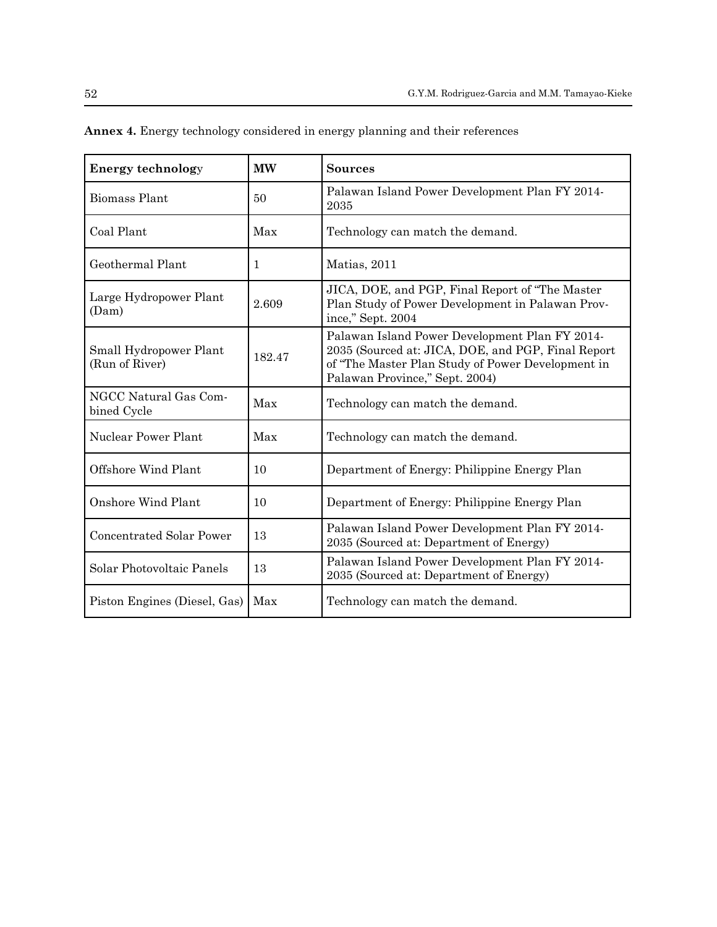| <b>Energy technology</b>                 | <b>MW</b> | <b>Sources</b>                                                                                                                                                                              |
|------------------------------------------|-----------|---------------------------------------------------------------------------------------------------------------------------------------------------------------------------------------------|
| <b>Biomass Plant</b>                     | 50        | Palawan Island Power Development Plan FY 2014-<br>2035                                                                                                                                      |
| Coal Plant                               | Max       | Technology can match the demand.                                                                                                                                                            |
| Geothermal Plant                         | 1         | Matias, 2011                                                                                                                                                                                |
| Large Hydropower Plant<br>(Dam)          | 2.609     | JICA, DOE, and PGP, Final Report of "The Master"<br>Plan Study of Power Development in Palawan Prov-<br>ince," Sept. 2004                                                                   |
| Small Hydropower Plant<br>(Run of River) | 182.47    | Palawan Island Power Development Plan FY 2014-<br>2035 (Sourced at: JICA, DOE, and PGP, Final Report<br>of "The Master Plan Study of Power Development in<br>Palawan Province," Sept. 2004) |
| NGCC Natural Gas Com-<br>bined Cycle     | Max       | Technology can match the demand.                                                                                                                                                            |
| Nuclear Power Plant                      | Max       | Technology can match the demand.                                                                                                                                                            |
| Offshore Wind Plant                      | 10        | Department of Energy: Philippine Energy Plan                                                                                                                                                |
| Onshore Wind Plant                       | 10        | Department of Energy: Philippine Energy Plan                                                                                                                                                |
| <b>Concentrated Solar Power</b>          | 13        | Palawan Island Power Development Plan FY 2014-<br>2035 (Sourced at: Department of Energy)                                                                                                   |
| Solar Photovoltaic Panels                | 13        | Palawan Island Power Development Plan FY 2014-<br>2035 (Sourced at: Department of Energy)                                                                                                   |
| Piston Engines (Diesel, Gas)             | Max       | Technology can match the demand.                                                                                                                                                            |

**Annex 4.** Energy technology considered in energy planning and their references